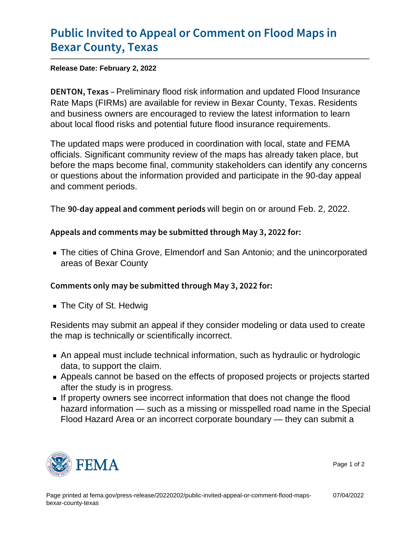## [Public Invited to Appeal or Comm](https://www.fema.gov/press-release/20220202/public-invited-appeal-or-comment-flood-maps-bexar-county-texas)ent on F [Bexar Count](https://www.fema.gov/press-release/20220202/public-invited-appeal-or-comment-flood-maps-bexar-county-texas)y, Texas

Release Date: February 2, 2022

DENTON, Peekinainary flood risk information and updated Flood Insurance Rate Maps (FIRMs) are available for review in Bexar County, Texas. Residents and business owners are encouraged to review the latest information to learn about local flood risks and potential future flood insurance requirements.

The updated maps were produced in coordination with local, state and FEMA officials. Significant community review of the maps has already taken place, but before the maps become final, community stakeholders can identify any concerns or questions about the information provided and participate in the 90-day appeal and comment periods.

The  $90$ -day appeal and comwith beggin on eorianoulusd Feb. 2, 2022.

Appeals and comments may be submitted through May 3, 20

The cities of China Grove, Elmendorf and San Antonio; and the unincorporated areas of Bexar County

Comments only may be submitted through May 3, 2022 for:

■ The City of St. Hedwig

Residents may submit an appeal if they consider modeling or data used to create the map is technically or scientifically incorrect.

- An appeal must include technical information, such as hydraulic or hydrologic data, to support the claim.
- Appeals cannot be based on the effects of proposed projects or projects started after the study is in progress.
- If property owners see incorrect information that does not change the flood hazard information — such as a missing or misspelled road name in the Special Flood Hazard Area or an incorrect corporate boundary — they can submit a



Page 1 of 2